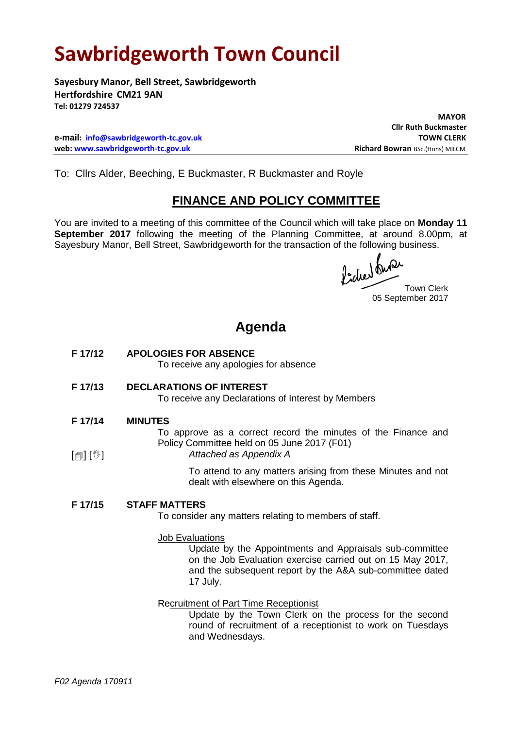# **Sawbridgeworth Town Council**

**Sayesbury Manor, Bell Street, Sawbridgeworth Hertfordshire CM21 9AN Tel: 01279 724537**

**e-mail: [info@sawbridgeworth-tc.gov.uk](mailto:info@sawbridgeworth-tc.gov.uk) TOWN CLERK web:** www.sawbridgeworth-tc.gov.uk **Richard Bowran** BSc.(Hons) MILCM

 **MAYOR Cllr Ruth Buckmaster**

To: Cllrs Alder, Beeching, E Buckmaster, R Buckmaster and Royle

## **FINANCE AND POLICY COMMITTEE**

You are invited to a meeting of this committee of the Council which will take place on **Monday 11 September 2017** following the meeting of the Planning Committee, at around 8.00pm, at Sayesbury Manor, Bell Street, Sawbridgeworth for the transaction of the following business.

fideed funer

Town Clerk 05 September 2017

# **Agenda**

- **F 17/12 APOLOGIES FOR ABSENCE** To receive any apologies for absence
- **F 17/13 DECLARATIONS OF INTEREST**

To receive any Declarations of Interest by Members

**F 17/14 MINUTES**

To approve as a correct record the minutes of the Finance and Policy Committee held on 05 June 2017 (F01)

 $\lceil \blacksquare$ *Attached as Appendix A*

> To attend to any matters arising from these Minutes and not dealt with elsewhere on this Agenda.

#### **F 17/15 STAFF MATTERS**

To consider any matters relating to members of staff.

#### Job Evaluations

Update by the Appointments and Appraisals sub-committee on the Job Evaluation exercise carried out on 15 May 2017, and the subsequent report by the A&A sub-committee dated 17 July.

#### Recruitment of Part Time Receptionist

Update by the Town Clerk on the process for the second round of recruitment of a receptionist to work on Tuesdays and Wednesdays.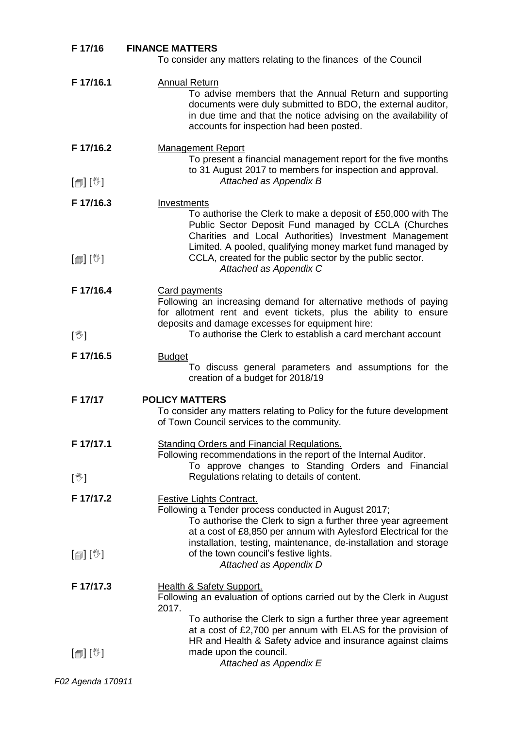| F 17/16                                 | <b>FINANCE MATTERS</b><br>To consider any matters relating to the finances of the Council                                                                                                                                                                                                                                       |
|-----------------------------------------|---------------------------------------------------------------------------------------------------------------------------------------------------------------------------------------------------------------------------------------------------------------------------------------------------------------------------------|
| F 17/16.1                               | <b>Annual Return</b><br>To advise members that the Annual Return and supporting<br>documents were duly submitted to BDO, the external auditor,<br>in due time and that the notice advising on the availability of<br>accounts for inspection had been posted.                                                                   |
| F 17/16.2                               | <b>Management Report</b><br>To present a financial management report for the five months<br>to 31 August 2017 to members for inspection and approval.                                                                                                                                                                           |
| [@][V]                                  | Attached as Appendix B                                                                                                                                                                                                                                                                                                          |
| F 17/16.3<br>$\mathbb{D}[\mathbb{D}^1]$ | <b>Investments</b><br>To authorise the Clerk to make a deposit of £50,000 with The<br>Public Sector Deposit Fund managed by CCLA (Churches<br>Charities and Local Authorities) Investment Management<br>Limited. A pooled, qualifying money market fund managed by<br>CCLA, created for the public sector by the public sector. |
|                                         | Attached as Appendix C                                                                                                                                                                                                                                                                                                          |
| F 17/16.4                               | <b>Card payments</b><br>Following an increasing demand for alternative methods of paying<br>for allotment rent and event tickets, plus the ability to ensure<br>deposits and damage excesses for equipment hire:                                                                                                                |
| $[\mathbb{V}]$                          | To authorise the Clerk to establish a card merchant account                                                                                                                                                                                                                                                                     |
| F 17/16.5                               | <b>Budget</b><br>To discuss general parameters and assumptions for the<br>creation of a budget for 2018/19                                                                                                                                                                                                                      |
| F 17/17                                 | <b>POLICY MATTERS</b><br>To consider any matters relating to Policy for the future development<br>of Town Council services to the community.                                                                                                                                                                                    |
| F 17/17.1                               | <b>Standing Orders and Financial Regulations.</b><br>Following recommendations in the report of the Internal Auditor.<br>To approve changes to Standing Orders and Financial                                                                                                                                                    |
| $[\mathbb{V}]$                          | Regulations relating to details of content.                                                                                                                                                                                                                                                                                     |
| F 17/17.2                               | Festive Lights Contract.<br>Following a Tender process conducted in August 2017;<br>To authorise the Clerk to sign a further three year agreement<br>at a cost of £8,850 per annum with Aylesford Electrical for the<br>installation, testing, maintenance, de-installation and storage                                         |
| $\mathbb{D}[\mathbb{D}^1]$              | of the town council's festive lights.<br>Attached as Appendix D                                                                                                                                                                                                                                                                 |
| F 17/17.3                               | <b>Health &amp; Safety Support.</b><br>Following an evaluation of options carried out by the Clerk in August<br>2017.<br>To authorise the Clerk to sign a further three year agreement<br>at a cost of £2,700 per annum with ELAS for the provision of                                                                          |
| $\mathbb{D}[\mathbb{D}^1]$              | HR and Health & Safety advice and insurance against claims<br>made upon the council.<br>Attached as Appendix E                                                                                                                                                                                                                  |